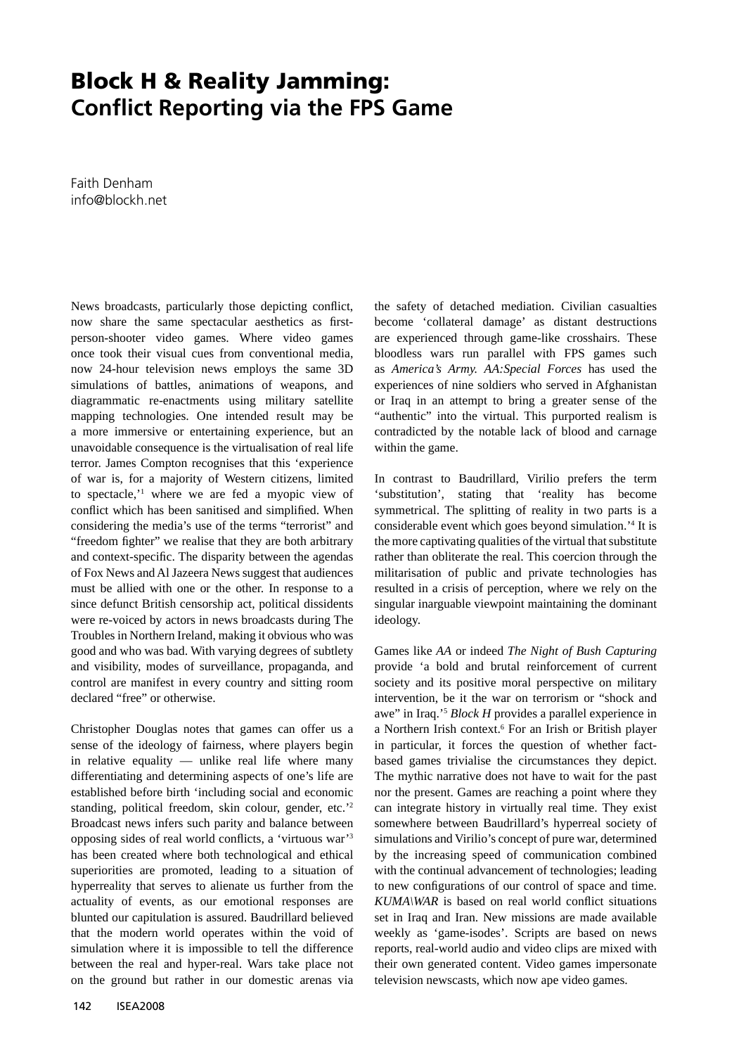## **Block H & Reality Jamming: Conflict Reporting via the FPS Game**

Faith Denham info@blockh.net

News broadcasts, particularly those depicting conflict, now share the same spectacular aesthetics as firstperson-shooter video games. Where video games once took their visual cues from conventional media, now 24-hour television news employs the same 3D simulations of battles, animations of weapons, and diagrammatic re-enactments using military satellite mapping technologies. One intended result may be a more immersive or entertaining experience, but an unavoidable consequence is the virtualisation of real life terror. James Compton recognises that this 'experience of war is, for a majority of Western citizens, limited to spectacle,'1 where we are fed a myopic view of conflict which has been sanitised and simplified. When considering the media's use of the terms "terrorist" and "freedom fighter" we realise that they are both arbitrary and context-specific. The disparity between the agendas of Fox News and Al Jazeera News suggest that audiences must be allied with one or the other. In response to a since defunct British censorship act, political dissidents were re-voiced by actors in news broadcasts during The Troubles in Northern Ireland, making it obvious who was good and who was bad. With varying degrees of subtlety and visibility, modes of surveillance, propaganda, and control are manifest in every country and sitting room declared "free" or otherwise.

Christopher Douglas notes that games can offer us a sense of the ideology of fairness, where players begin in relative equality — unlike real life where many differentiating and determining aspects of one's life are established before birth 'including social and economic standing, political freedom, skin colour, gender, etc.'2 Broadcast news infers such parity and balance between opposing sides of real world conflicts, a 'virtuous war'<sup>3</sup> has been created where both technological and ethical superiorities are promoted, leading to a situation of hyperreality that serves to alienate us further from the actuality of events, as our emotional responses are blunted our capitulation is assured. Baudrillard believed that the modern world operates within the void of simulation where it is impossible to tell the difference between the real and hyper-real. Wars take place not on the ground but rather in our domestic arenas via

the safety of detached mediation. Civilian casualties become 'collateral damage' as distant destructions are experienced through game-like crosshairs. These bloodless wars run parallel with FPS games such as *America's Army. AA:Special Forces* has used the experiences of nine soldiers who served in Afghanistan or Iraq in an attempt to bring a greater sense of the "authentic" into the virtual. This purported realism is contradicted by the notable lack of blood and carnage within the game.

In contrast to Baudrillard, Virilio prefers the term 'substitution', stating that 'reality has become symmetrical. The splitting of reality in two parts is a considerable event which goes beyond simulation.'4 It is the more captivating qualities of the virtual that substitute rather than obliterate the real. This coercion through the militarisation of public and private technologies has resulted in a crisis of perception, where we rely on the singular inarguable viewpoint maintaining the dominant ideology.

Games like *AA* or indeed *The Night of Bush Capturing*  provide 'a bold and brutal reinforcement of current society and its positive moral perspective on military intervention, be it the war on terrorism or "shock and awe" in Iraq.'5 *Block H* provides a parallel experience in a Northern Irish context.<sup>6</sup> For an Irish or British player in particular, it forces the question of whether factbased games trivialise the circumstances they depict. The mythic narrative does not have to wait for the past nor the present. Games are reaching a point where they can integrate history in virtually real time. They exist somewhere between Baudrillard's hyperreal society of simulations and Virilio's concept of pure war, determined by the increasing speed of communication combined with the continual advancement of technologies; leading to new configurations of our control of space and time.  $KUMA\backslash WAR$  is based on real world conflict situations set in Iraq and Iran. New missions are made available weekly as 'game-isodes'. Scripts are based on news reports, real-world audio and video clips are mixed with their own generated content. Video games impersonate television newscasts, which now ape video games.